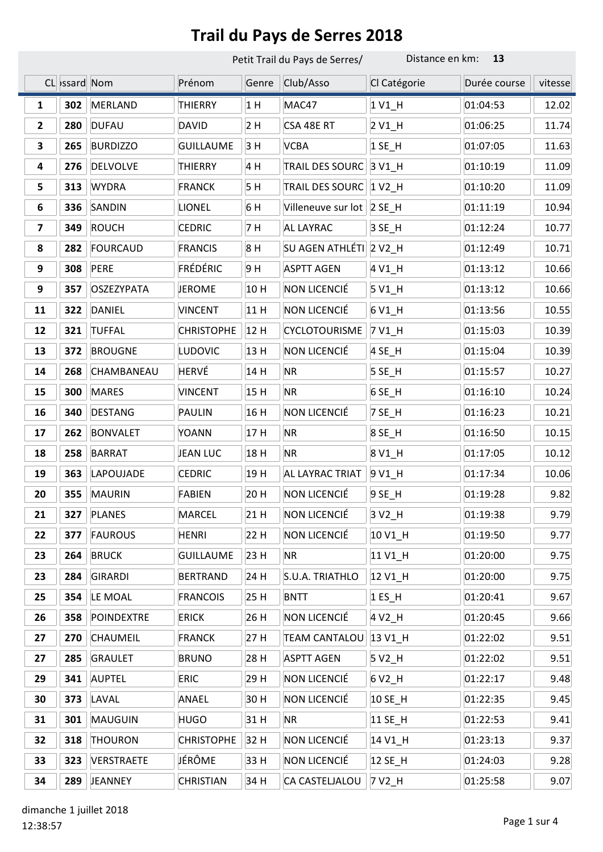|                         |               | Petit Trail du Pays de Serres/ |                   | Distance en km:<br>13 |                             |                     |              |         |
|-------------------------|---------------|--------------------------------|-------------------|-----------------------|-----------------------------|---------------------|--------------|---------|
|                         | CL >ssard Nom |                                | Prénom            | Genre                 | Club/Asso                   | Cl Catégorie        | Durée course | vitesse |
| 1                       | 302           | <b>MERLAND</b>                 | <b>THIERRY</b>    | 1H                    | MAC47                       | 1 V1_H              | 01:04:53     | 12.02   |
| $\mathbf{2}$            | 280           | <b>DUFAU</b>                   | <b>DAVID</b>      | 2H                    | CSA 48E RT                  | $2V1$ <sup>H</sup>  | 01:06:25     | 11.74   |
| 3                       | 265           | <b>BURDIZZO</b>                | <b>GUILLAUME</b>  | 3H                    | <b>VCBA</b>                 | $1$ SE_H            | 01:07:05     | 11.63   |
| 4                       | 276           | <b>DELVOLVE</b>                | <b>THIERRY</b>    | 4 H                   | TRAIL DES SOURC             | 3 V1_H              | 01:10:19     | 11.09   |
| 5                       | 313           | <b>WYDRA</b>                   | <b>FRANCK</b>     | 5H                    | <b>TRAIL DES SOURC</b>      | $1 V2$ _H           | 01:10:20     | 11.09   |
| 6                       | 336           | SANDIN                         | LIONEL            | 6 H                   | Villeneuve sur lot   2 SE_H |                     | 01:11:19     | 10.94   |
| $\overline{\mathbf{z}}$ | 349           | <b>ROUCH</b>                   | <b>CEDRIC</b>     | 7 H                   | AL LAYRAC                   | 3 SE_H              | 01:12:24     | 10.77   |
| 8                       | 282           | <b>FOURCAUD</b>                | <b>FRANCIS</b>    | 8H                    | SU AGEN ATHLÉTI 2 V2_H      |                     | 01:12:49     | 10.71   |
| 9                       | 308           | <b>PERE</b>                    | FRÉDÉRIC          | 9H                    | <b>ASPTT AGEN</b>           | 4 V1_H              | 01:13:12     | 10.66   |
| 9                       | 357           | <b>OSZEZYPATA</b>              | <b>JEROME</b>     | 10 H                  | NON LICENCIÉ                | $5V1$ <sup>H</sup>  | 01:13:12     | 10.66   |
| 11                      | 322           | <b>DANIEL</b>                  | <b>VINCENT</b>    | 11 H                  | NON LICENCIÉ                | 6 V1_H              | 01:13:56     | 10.55   |
| 12                      | 321           | <b>TUFFAL</b>                  | <b>CHRISTOPHE</b> | 12H                   | <b>CYCLOTOURISME</b>        | 7 V1_H              | 01:15:03     | 10.39   |
| 13                      | 372           | <b>BROUGNE</b>                 | <b>LUDOVIC</b>    | 13 H                  | NON LICENCIÉ                | 4 SE_H              | 01:15:04     | 10.39   |
| 14                      | 268           | CHAMBANEAU                     | HERVÉ             | 14 H                  | <b>NR</b>                   | $5$ SE_H            | 01:15:57     | 10.27   |
| 15                      | 300           | <b>MARES</b>                   | <b>VINCENT</b>    | 15H                   | <b>NR</b>                   | 6 SE_H              | 01:16:10     | 10.24   |
| 16                      | 340           | <b>DESTANG</b>                 | PAULIN            | 16 H                  | NON LICENCIÉ                | 7 SE_H              | 01:16:23     | 10.21   |
| 17                      | 262           | <b>BONVALET</b>                | <b>YOANN</b>      | 17H                   | <b>NR</b>                   | 8 SE_H              | 01:16:50     | 10.15   |
| 18                      | 258           | <b>BARRAT</b>                  | <b>JEAN LUC</b>   | 18 H                  | <b>NR</b>                   | 8 V1_H              | 01:17:05     | 10.12   |
| 19                      | 363           | LAPOUJADE                      | <b>CEDRIC</b>     | 19H                   | AL LAYRAC TRIAT             | 9 V <sub>1_</sub> H | 01:17:34     | 10.06   |
| 20                      | 355           | <b>MAURIN</b>                  | <b>FABIEN</b>     | 20 H                  | NON LICENCIÉ                | 9 SE_H              | 01:19:28     | 9.82    |
| 21                      | 327           | <b>PLANES</b>                  | <b>MARCEL</b>     | 21 H                  | NON LICENCIÉ                | 3 V <sub>2_</sub> H | 01:19:38     | 9.79    |
| 22                      | 377           | <b>FAUROUS</b>                 | <b>HENRI</b>      | 22 H                  | NON LICENCIÉ                | 10 V1_H             | 01:19:50     | 9.77    |
| 23                      | 264           | <b>BRUCK</b>                   | <b>GUILLAUME</b>  | 23 H                  | <b>NR</b>                   | 11 V1_H             | 01:20:00     | 9.75    |
| 23                      | 284           | <b>GIRARDI</b>                 | <b>BERTRAND</b>   | 24 H                  | S.U.A. TRIATHLO             | 12 V1_H             | 01:20:00     | 9.75    |
| 25                      | 354           | LE MOAL                        | <b>FRANCOIS</b>   | 25 H                  | <b>BNTT</b>                 | $1$ ES_H            | 01:20:41     | 9.67    |
| 26                      | 358           | <b>POINDEXTRE</b>              | <b>ERICK</b>      | 26 H                  | NON LICENCIÉ                | 4 V2_H              | 01:20:45     | 9.66    |
| 27                      | 270           | <b>CHAUMEIL</b>                | <b>FRANCK</b>     | 27 H                  | TEAM CANTALOU 13 V1_H       |                     | 01:22:02     | 9.51    |
| 27                      | 285           | <b>GRAULET</b>                 | <b>BRUNO</b>      | 28 H                  | <b>ASPTT AGEN</b>           | 5 V2_H              | 01:22:02     | 9.51    |
| 29                      | 341           | <b>AUPTEL</b>                  | <b>ERIC</b>       | 29 H                  | NON LICENCIÉ                | 6 V2_H              | 01:22:17     | 9.48    |
| 30                      | 373           | LAVAL                          | ANAEL             | 30 H                  | NON LICENCIÉ                | 10 SE_H             | 01:22:35     | 9.45    |
| 31                      | 301           | <b>MAUGUIN</b>                 | <b>HUGO</b>       | 31 H                  | <b>NR</b>                   | 11 SE_H             | 01:22:53     | 9.41    |
| 32                      | 318           | <b>THOURON</b>                 | <b>CHRISTOPHE</b> | 32 H                  | NON LICENCIÉ                | 14 V1_H             | 01:23:13     | 9.37    |
| 33                      | 323           | VERSTRAETE                     | JÉRÔME            | 33 H                  | NON LICENCIÉ                | 12 SE_H             | 01:24:03     | 9.28    |
| 34                      | 289           | <b>JEANNEY</b>                 | <b>CHRISTIAN</b>  | 34 H                  | CA CASTELJALOU              | 7 V2_H              | 01:25:58     | 9.07    |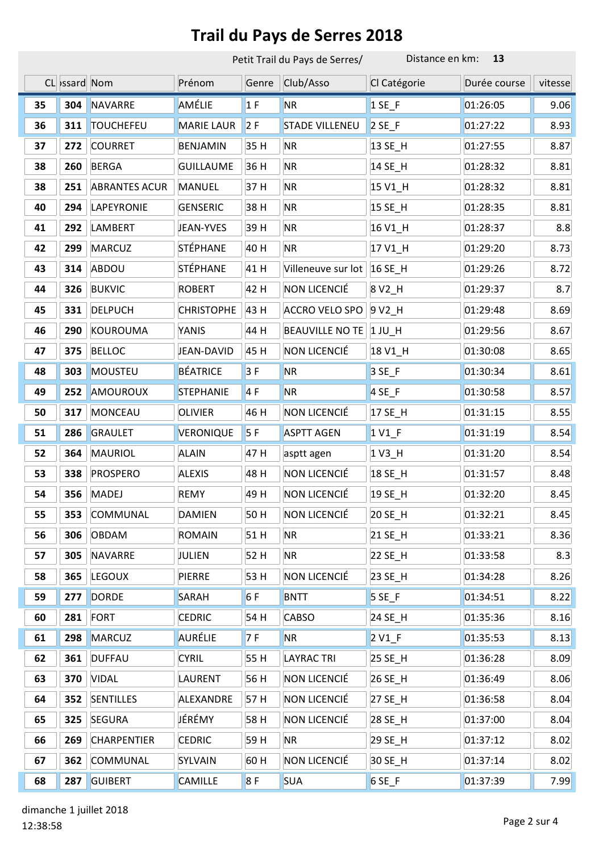|    |              | Petit Trail du Pays de Serres/ |                   |       | Distance en km:<br>13  |                     |              |         |
|----|--------------|--------------------------------|-------------------|-------|------------------------|---------------------|--------------|---------|
|    | CL ssard Nom |                                | Prénom            | Genre | Club/Asso              | Cl Catégorie        | Durée course | vitesse |
| 35 | 304          | <b>NAVARRE</b>                 | AMÉLIE            | 1F    | <b>NR</b>              | $1$ SE_F            | 01:26:05     | 9.06    |
| 36 | 311          | <b>TOUCHEFEU</b>               | <b>MARIE LAUR</b> | 2F    | <b>STADE VILLENEU</b>  | $2SE$ F             | 01:27:22     | 8.93    |
| 37 | 272          | <b>COURRET</b>                 | <b>BENJAMIN</b>   | 35 H  | <b>NR</b>              | 13 SE_H             | 01:27:55     | 8.87    |
| 38 | 260          | <b>BERGA</b>                   | <b>GUILLAUME</b>  | 36 H  | <b>NR</b>              | 14 SE_H             | 01:28:32     | 8.81    |
| 38 | 251          | <b>ABRANTES ACUR</b>           | <b>MANUEL</b>     | 37 H  | <b>NR</b>              | 15 V1_H             | 01:28:32     | 8.81    |
| 40 | 294          | LAPEYRONIE                     | <b>GENSERIC</b>   | 38 H  | <b>NR</b>              | 15 SE_H             | 01:28:35     | 8.81    |
| 41 | 292          | LAMBERT                        | JEAN-YVES         | 39 H  | <b>NR</b>              | 16 V1_H             | 01:28:37     | 8.8     |
| 42 | 299          | <b>MARCUZ</b>                  | STÉPHANE          | 40 H  | <b>NR</b>              | 17 V1_H             | 01:29:20     | 8.73    |
| 43 | 314          | ABDOU                          | STÉPHANE          | 41 H  | Villeneuve sur lot     | 16 SE_H             | 01:29:26     | 8.72    |
| 44 | 326          | <b>BUKVIC</b>                  | <b>ROBERT</b>     | 42 H  | NON LICENCIÉ           | 8 V <sub>2_</sub> H | 01:29:37     | 8.7     |
| 45 | 331          | <b>DELPUCH</b>                 | <b>CHRISTOPHE</b> | 43 H  | <b>ACCRO VELO SPO</b>  | 9 V2 H              | 01:29:48     | 8.69    |
| 46 | 290          | KOUROUMA                       | YANIS             | 44 H  | <b>BEAUVILLE NO TE</b> | $1$ JU_H            | 01:29:56     | 8.67    |
| 47 | 375          | <b>BELLOC</b>                  | JEAN-DAVID        | 45 H  | NON LICENCIÉ           | 18 V1_H             | 01:30:08     | 8.65    |
| 48 | 303          | <b>MOUSTEU</b>                 | BÉATRICE          | 3F    | <b>NR</b>              | $3SE$ <sub>F</sub>  | 01:30:34     | 8.61    |
| 49 | 252          | AMOUROUX                       | <b>STEPHANIE</b>  | 4F    | <b>NR</b>              | $4$ SE_F            | 01:30:58     | 8.57    |
| 50 | 317          | <b>MONCEAU</b>                 | <b>OLIVIER</b>    | 46 H  | NON LICENCIÉ           | 17 SE_H             | 01:31:15     | 8.55    |
| 51 | 286          | <b>GRAULET</b>                 | VERONIQUE         | 5F    | <b>ASPTT AGEN</b>      | 1 V <sub>1_F</sub>  | 01:31:19     | 8.54    |
| 52 | 364          | <b>MAURIOL</b>                 | <b>ALAIN</b>      | 47 H  | asptt agen             | 1 V3_H              | 01:31:20     | 8.54    |
| 53 | 338          | <b>PROSPERO</b>                | <b>ALEXIS</b>     | 48 H  | NON LICENCIÉ           | 18 SE_H             | 01:31:57     | 8.48    |
| 54 | 356          | <b>MADEJ</b>                   | <b>REMY</b>       | 49 H  | NON LICENCIÉ           | 19 SE_H             | 01:32:20     | 8.45    |
| 55 | 353          | COMMUNAL                       | <b>DAMIEN</b>     | 50 H  | NON LICENCIÉ           | 20 SE_H             | 01:32:21     | 8.45    |
| 56 | 306          | <b>OBDAM</b>                   | <b>ROMAIN</b>     | 51 H  | <b>NR</b>              | 21 SE_H             | 01:33:21     | 8.36    |
| 57 | 305          | <b>NAVARRE</b>                 | JULIEN            | 52 H  | <b>NR</b>              | 22 SE_H             | 01:33:58     | 8.3     |
| 58 | 365          | <b>LEGOUX</b>                  | PIERRE            | 53 H  | NON LICENCIÉ           | 23 SE_H             | 01:34:28     | 8.26    |
| 59 | 277          | <b>DORDE</b>                   | SARAH             | 6F    | <b>BNTT</b>            | $5$ SE_F            | 01:34:51     | 8.22    |
| 60 | 281          | FORT                           | <b>CEDRIC</b>     | 54 H  | <b>CABSO</b>           | 24 SE_H             | 01:35:36     | 8.16    |
| 61 | 298          | <b>MARCUZ</b>                  | <b>AURÉLIE</b>    | 7 F   | <b>NR</b>              | $2 VI_F$            | 01:35:53     | 8.13    |
| 62 | 361          | <b>DUFFAU</b>                  | <b>CYRIL</b>      | 55 H  | <b>LAYRAC TRI</b>      | 25 SE_H             | 01:36:28     | 8.09    |
| 63 | 370          | <b>VIDAL</b>                   | LAURENT           | 56 H  | NON LICENCIÉ           | 26 SE_H             | 01:36:49     | 8.06    |
| 64 | 352          | <b>SENTILLES</b>               | ALEXANDRE         | 57 H  | NON LICENCIÉ           | 27 SE_H             | 01:36:58     | 8.04    |
| 65 | 325          | <b>SEGURA</b>                  | JÉRÉMY            | 58 H  | NON LICENCIÉ           | 28 SE_H             | 01:37:00     | 8.04    |
| 66 | 269          | <b>CHARPENTIER</b>             | <b>CEDRIC</b>     | 59H   | <b>NR</b>              | 29 SE_H             | 01:37:12     | 8.02    |
| 67 | 362          | COMMUNAL                       | SYLVAIN           | 60 H  | NON LICENCIÉ           | 30 SE_H             | 01:37:14     | 8.02    |
| 68 | 287          | <b>GUIBERT</b>                 | CAMILLE           | 8F    | <b>SUA</b>             | $6$ SE_F            | 01:37:39     | 7.99    |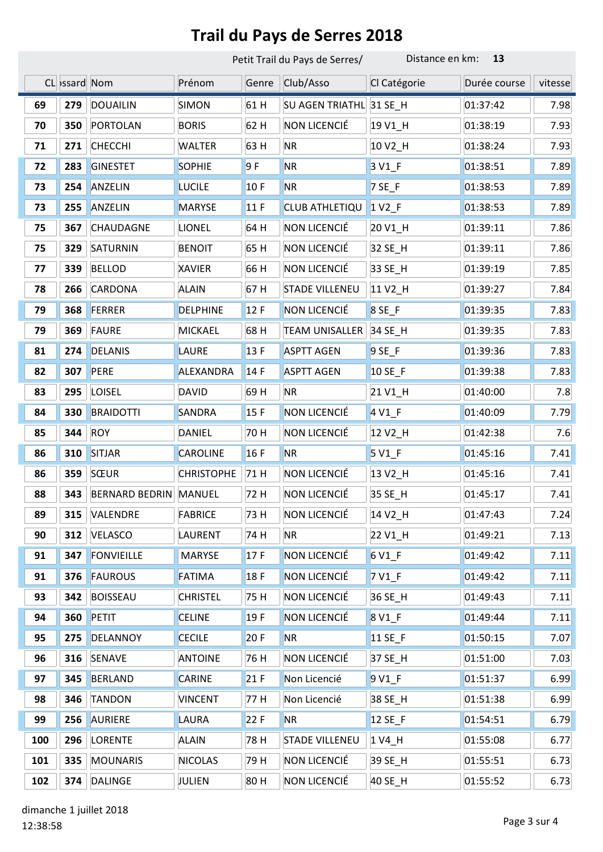|     | Petit Trail du Pays de Serres/ |                       |                   |       | Distance en km:<br>13   |                      |              |         |
|-----|--------------------------------|-----------------------|-------------------|-------|-------------------------|----------------------|--------------|---------|
|     | CL >ssard Nom                  |                       | Prénom            | Genre | Club/Asso               | Cl Catégorie         | Durée course | vitesse |
| 69  | 279                            | <b>DOUAILIN</b>       | <b>SIMON</b>      | 61 H  | SU AGEN TRIATHL 31 SE H |                      | 01:37:42     | 7.98    |
| 70  | 350                            | PORTOLAN              | <b>BORIS</b>      | 62 H  | NON LICENCIÉ            | 19 V1_H              | 01:38:19     | 7.93    |
| 71  | 271                            | <b>CHECCHI</b>        | WALTER            | 63 H  | <b>NR</b>               | 10 V <sub>2_</sub> H | 01:38:24     | 7.93    |
| 72  | 283                            | <b>GINESTET</b>       | <b>SOPHIE</b>     | 9F    | <b>NR</b>               | 3 V <sub>1_F</sub>   | 01:38:51     | 7.89    |
| 73  | 254                            | ANZELIN               | <b>LUCILE</b>     | 10F   | <b>NR</b>               | $7$ SE_F             | 01:38:53     | 7.89    |
| 73  | 255                            | ANZELIN               | <b>MARYSE</b>     | 11F   | CLUB ATHLETIQU          | $1 \text{V2}$        | 01:38:53     | 7.89    |
| 75  | 367                            | CHAUDAGNE             | LIONEL            | 64 H  | NON LICENCIÉ            | 20 V1_H              | 01:39:11     | 7.86    |
| 75  | 329                            | SATURNIN              | <b>BENOIT</b>     | 65 H  | NON LICENCIÉ            | 32 SE_H              | 01:39:11     | 7.86    |
| 77  | 339                            | <b>BELLOD</b>         | <b>XAVIER</b>     | 66 H  | NON LICENCIÉ            | 33 SE_H              | 01:39:19     | 7.85    |
| 78  | 266                            | <b>CARDONA</b>        | <b>ALAIN</b>      | 67 H  | <b>STADE VILLENEU</b>   | 11 V <sub>2_</sub> H | 01:39:27     | 7.84    |
| 79  | 368                            | FERRER                | <b>DELPHINE</b>   | 12F   | NON LICENCIÉ            | 8 SE_F               | 01:39:35     | 7.83    |
| 79  | 369                            | <b>FAURE</b>          | <b>MICKAEL</b>    | 68 H  | <b>TEAM UNISALLER</b>   | 34 SE_H              | 01:39:35     | 7.83    |
| 81  | 274                            | <b>DELANIS</b>        | LAURE             | 13F   | <b>ASPTT AGEN</b>       | $9$ SE_F             | 01:39:36     | 7.83    |
| 82  | 307                            | PERE                  | ALEXANDRA         | 14F   | <b>ASPTT AGEN</b>       | 10 SE_F              | 01:39:38     | 7.83    |
| 83  | 295                            | <b>LOISEL</b>         | <b>DAVID</b>      | 69 H  | <b>NR</b>               | 21 V1_H              | 01:40:00     | 7.8     |
| 84  | 330                            | <b>BRAIDOTTI</b>      | SANDRA            | 15F   | NON LICENCIÉ            | $4V1_F$              | 01:40:09     | 7.79    |
| 85  | 344                            | <b>ROY</b>            | DANIEL            | 70 H  | NON LICENCIÉ            | 12 V <sub>2_</sub> H | 01:42:38     | 7.6     |
| 86  | 310                            | <b>SITJAR</b>         | <b>CAROLINE</b>   | 16F   | <b>NR</b>               | 5 V1_F               | 01:45:16     | 7.41    |
| 86  | 359                            | SŒUR                  | <b>CHRISTOPHE</b> | 71 H  | NON LICENCIÉ            | 13 V <sub>2_</sub> H | 01:45:16     | 7.41    |
| 88  | 343                            | <b>BERNARD BEDRIN</b> | <b>MANUEL</b>     | 72 H  | NON LICENCIÉ            | 35 SE_H              | 01:45:17     | 7.41    |
| 89  | 315                            | VALENDRE              | <b>FABRICE</b>    | 73 H  | NON LICENCIÉ            | 14 V <sub>2_</sub> H | 01:47:43     | 7.24    |
| 90  | 312                            | VELASCO               | LAURENT           | 74 H  | <b>NR</b>               | 22 V1_H              | 01:49:21     | 7.13    |
| 91  | 347                            | <b>FONVIEILLE</b>     | <b>MARYSE</b>     | 17F   | NON LICENCIÉ            | 6 V1 F               | 01:49:42     | 7.11    |
| 91  | 376                            | <b>FAUROUS</b>        | <b>FATIMA</b>     | 18F   | NON LICENCIÉ            | $7V1_F$              | 01:49:42     | 7.11    |
| 93  | 342                            | <b>BOISSEAU</b>       | <b>CHRISTEL</b>   | 75 H  | NON LICENCIÉ            | 36 SE_H              | 01:49:43     | 7.11    |
| 94  | 360                            | <b>PETIT</b>          | <b>CELINE</b>     | 19F   | NON LICENCIÉ            | 8 V1 F               | 01:49:44     | 7.11    |
| 95  | 275                            | DELANNOY              | <b>CECILE</b>     | 20 F  | <b>NR</b>               | 11 SE_F              | 01:50:15     | 7.07    |
| 96  | 316                            | <b>SENAVE</b>         | <b>ANTOINE</b>    | 76 H  | NON LICENCIÉ            | 37 SE_H              | 01:51:00     | 7.03    |
| 97  | 345                            | <b>BERLAND</b>        | <b>CARINE</b>     | 21F   | Non Licencié            | 9 V1_F               | 01:51:37     | 6.99    |
| 98  | 346                            | <b>TANDON</b>         | <b>VINCENT</b>    | 77 H  | Non Licencié            | 38 SE_H              | 01:51:38     | 6.99    |
| 99  | 256                            | AURIERE               | LAURA             | 22 F  | <b>NR</b>               | 12 SE_F              | 01:54:51     | 6.79    |
| 100 | 296                            | <b>LORENTE</b>        | <b>ALAIN</b>      | 78 H  | <b>STADE VILLENEU</b>   | 1 V4_H               | 01:55:08     | 6.77    |
| 101 | 335                            | <b>MOUNARIS</b>       | <b>NICOLAS</b>    | 79 H  | NON LICENCIÉ            | 39 SE_H              | 01:55:51     | 6.73    |
| 102 | 374                            | <b>DALINGE</b>        | JULIEN            | 80 H  | NON LICENCIÉ            | 40 SE_H              | 01:55:52     | 6.73    |